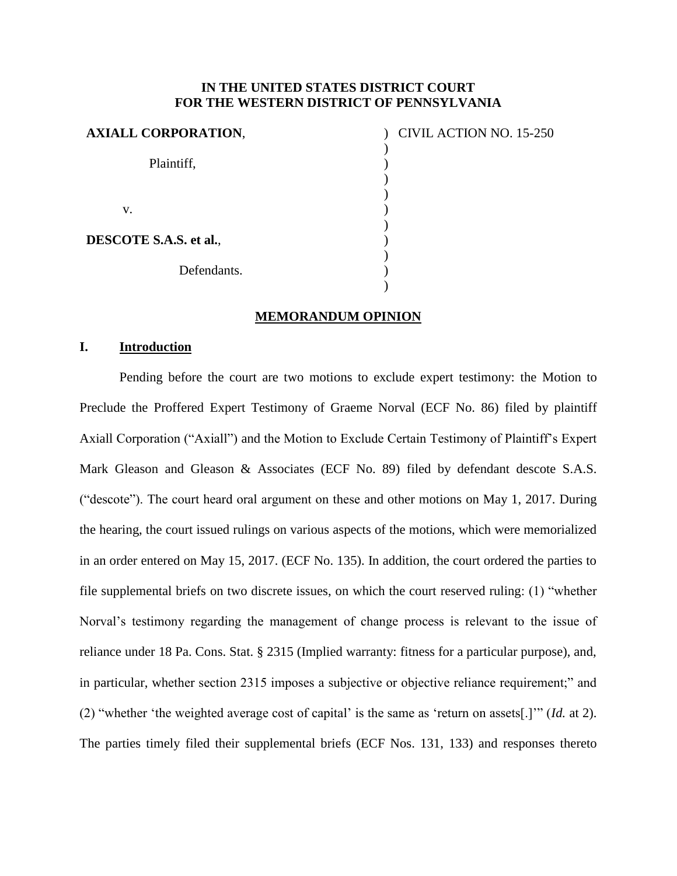## **IN THE UNITED STATES DISTRICT COURT FOR THE WESTERN DISTRICT OF PENNSYLVANIA**

| <b>AXIALL CORPORATION,</b> |  |
|----------------------------|--|
|                            |  |
| Plaintiff,                 |  |
|                            |  |
| V.                         |  |
| DESCOTE S.A.S. et al.,     |  |
| Defendants.                |  |
|                            |  |

## CIVIL ACTION NO. 15-250

#### **MEMORANDUM OPINION**

## **I. Introduction**

Pending before the court are two motions to exclude expert testimony: the Motion to Preclude the Proffered Expert Testimony of Graeme Norval (ECF No. 86) filed by plaintiff Axiall Corporation ("Axiall") and the Motion to Exclude Certain Testimony of Plaintiff's Expert Mark Gleason and Gleason & Associates (ECF No. 89) filed by defendant descote S.A.S. ("descote"). The court heard oral argument on these and other motions on May 1, 2017. During the hearing, the court issued rulings on various aspects of the motions, which were memorialized in an order entered on May 15, 2017. (ECF No. 135). In addition, the court ordered the parties to file supplemental briefs on two discrete issues, on which the court reserved ruling: (1) "whether Norval's testimony regarding the management of change process is relevant to the issue of reliance under 18 Pa. Cons. Stat. § 2315 (Implied warranty: fitness for a particular purpose), and, in particular, whether section 2315 imposes a subjective or objective reliance requirement;" and (2) "whether 'the weighted average cost of capital' is the same as 'return on assets[.]'" (*Id.* at 2). The parties timely filed their supplemental briefs (ECF Nos. 131, 133) and responses thereto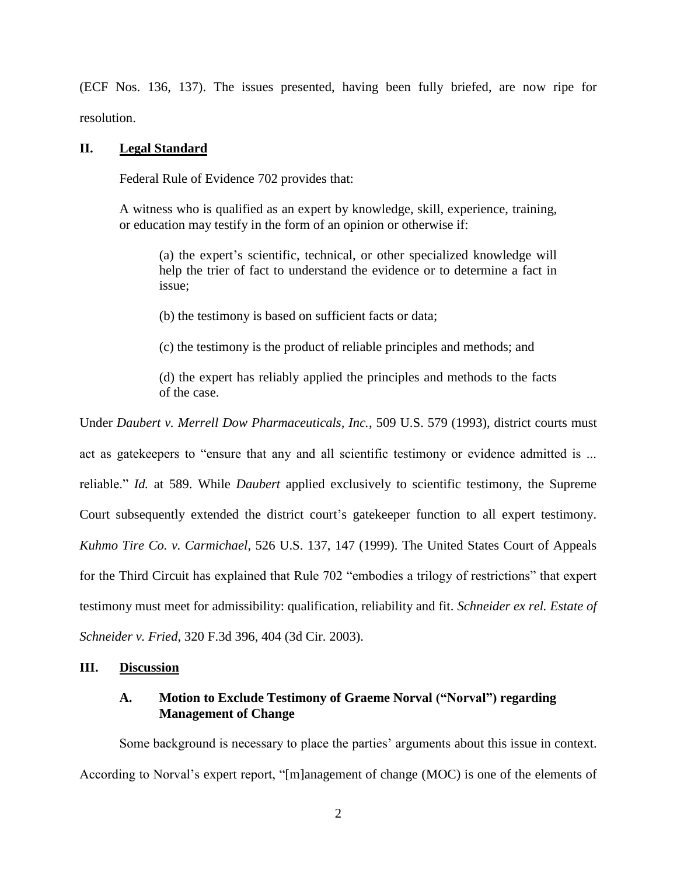(ECF Nos. 136, 137). The issues presented, having been fully briefed, are now ripe for resolution.

### **II. Legal Standard**

Federal Rule of Evidence 702 provides that:

A witness who is qualified as an expert by knowledge, skill, experience, training, or education may testify in the form of an opinion or otherwise if:

(a) the expert's scientific, technical, or other specialized knowledge will help the trier of fact to understand the evidence or to determine a fact in issue;

(b) the testimony is based on sufficient facts or data;

(c) the testimony is the product of reliable principles and methods; and

(d) the expert has reliably applied the principles and methods to the facts of the case.

Under *Daubert v. Merrell Dow Pharmaceuticals, Inc.*, 509 U.S. 579 (1993), district courts must

act as gatekeepers to "ensure that any and all scientific testimony or evidence admitted is ... reliable." *Id.* at 589. While *Daubert* applied exclusively to scientific testimony, the Supreme Court subsequently extended the district court's gatekeeper function to all expert testimony. *Kuhmo Tire Co. v. Carmichael*, 526 U.S. 137, 147 (1999). The United States Court of Appeals for the Third Circuit has explained that Rule 702 "embodies a trilogy of restrictions" that expert testimony must meet for admissibility: qualification, reliability and fit. *Schneider ex rel. Estate of Schneider v. Fried*, 320 F.3d 396, 404 (3d Cir. 2003).

## **III. Discussion**

## **A. Motion to Exclude Testimony of Graeme Norval ("Norval") regarding Management of Change**

Some background is necessary to place the parties' arguments about this issue in context. According to Norval's expert report, "[m]anagement of change (MOC) is one of the elements of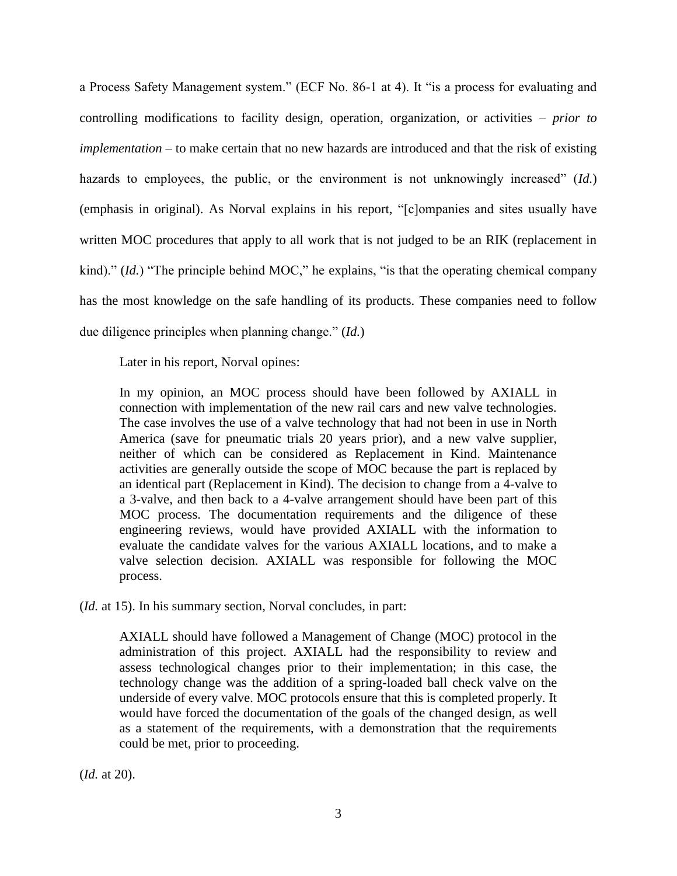a Process Safety Management system." (ECF No. 86-1 at 4). It "is a process for evaluating and controlling modifications to facility design, operation, organization, or activities – *prior to implementation* – to make certain that no new hazards are introduced and that the risk of existing hazards to employees, the public, or the environment is not unknowingly increased" (*Id.*) (emphasis in original). As Norval explains in his report, "[c]ompanies and sites usually have written MOC procedures that apply to all work that is not judged to be an RIK (replacement in kind)." (*Id.*) "The principle behind MOC," he explains, "is that the operating chemical company has the most knowledge on the safe handling of its products. These companies need to follow due diligence principles when planning change." (*Id.*)

Later in his report, Norval opines:

In my opinion, an MOC process should have been followed by AXIALL in connection with implementation of the new rail cars and new valve technologies. The case involves the use of a valve technology that had not been in use in North America (save for pneumatic trials 20 years prior), and a new valve supplier, neither of which can be considered as Replacement in Kind. Maintenance activities are generally outside the scope of MOC because the part is replaced by an identical part (Replacement in Kind). The decision to change from a 4-valve to a 3-valve, and then back to a 4-valve arrangement should have been part of this MOC process. The documentation requirements and the diligence of these engineering reviews, would have provided AXIALL with the information to evaluate the candidate valves for the various AXIALL locations, and to make a valve selection decision. AXIALL was responsible for following the MOC process.

(*Id.* at 15). In his summary section, Norval concludes, in part:

AXIALL should have followed a Management of Change (MOC) protocol in the administration of this project. AXIALL had the responsibility to review and assess technological changes prior to their implementation; in this case, the technology change was the addition of a spring-loaded ball check valve on the underside of every valve. MOC protocols ensure that this is completed properly. It would have forced the documentation of the goals of the changed design, as well as a statement of the requirements, with a demonstration that the requirements could be met, prior to proceeding.

(*Id.* at 20).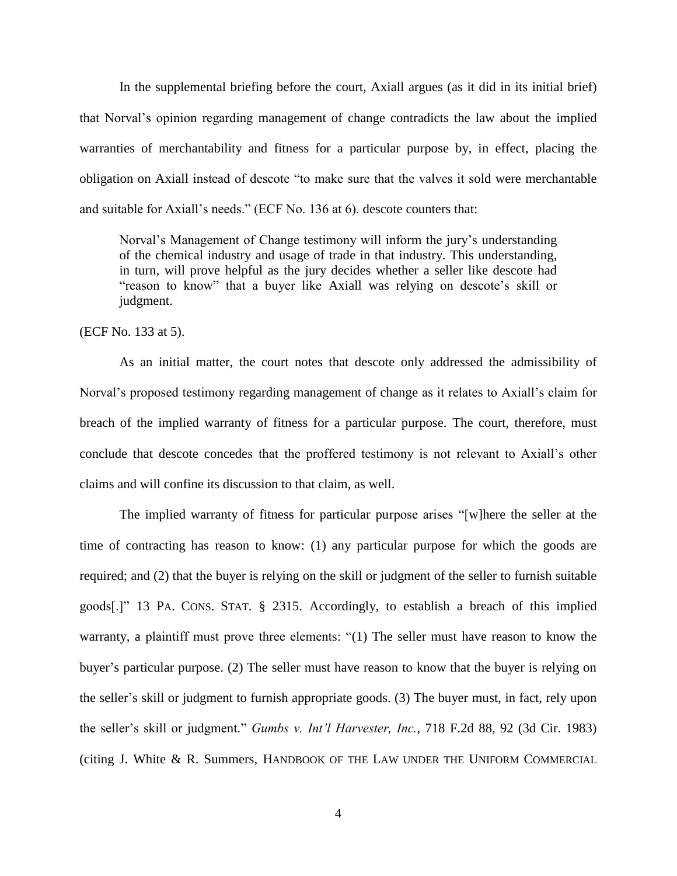In the supplemental briefing before the court, Axiall argues (as it did in its initial brief) that Norval's opinion regarding management of change contradicts the law about the implied warranties of merchantability and fitness for a particular purpose by, in effect, placing the obligation on Axiall instead of descote "to make sure that the valves it sold were merchantable and suitable for Axiall's needs." (ECF No. 136 at 6). descote counters that:

Norval's Management of Change testimony will inform the jury's understanding of the chemical industry and usage of trade in that industry. This understanding, in turn, will prove helpful as the jury decides whether a seller like descote had "reason to know" that a buyer like Axiall was relying on descote's skill or judgment.

(ECF No. 133 at 5).

As an initial matter, the court notes that descote only addressed the admissibility of Norval's proposed testimony regarding management of change as it relates to Axiall's claim for breach of the implied warranty of fitness for a particular purpose. The court, therefore, must conclude that descote concedes that the proffered testimony is not relevant to Axiall's other claims and will confine its discussion to that claim, as well.

The implied warranty of fitness for particular purpose arises "[w]here the seller at the time of contracting has reason to know: (1) any particular purpose for which the goods are required; and (2) that the buyer is relying on the skill or judgment of the seller to furnish suitable goods[.]" 13 PA. CONS. STAT. § 2315. Accordingly, to establish a breach of this implied warranty, a plaintiff must prove three elements: "(1) The seller must have reason to know the buyer's particular purpose. (2) The seller must have reason to know that the buyer is relying on the seller's skill or judgment to furnish appropriate goods. (3) The buyer must, in fact, rely upon the seller's skill or judgment." *Gumbs v. Int'l Harvester, Inc.*, 718 F.2d 88, 92 (3d Cir. 1983) (citing J. White & R. Summers, HANDBOOK OF THE LAW UNDER THE UNIFORM COMMERCIAL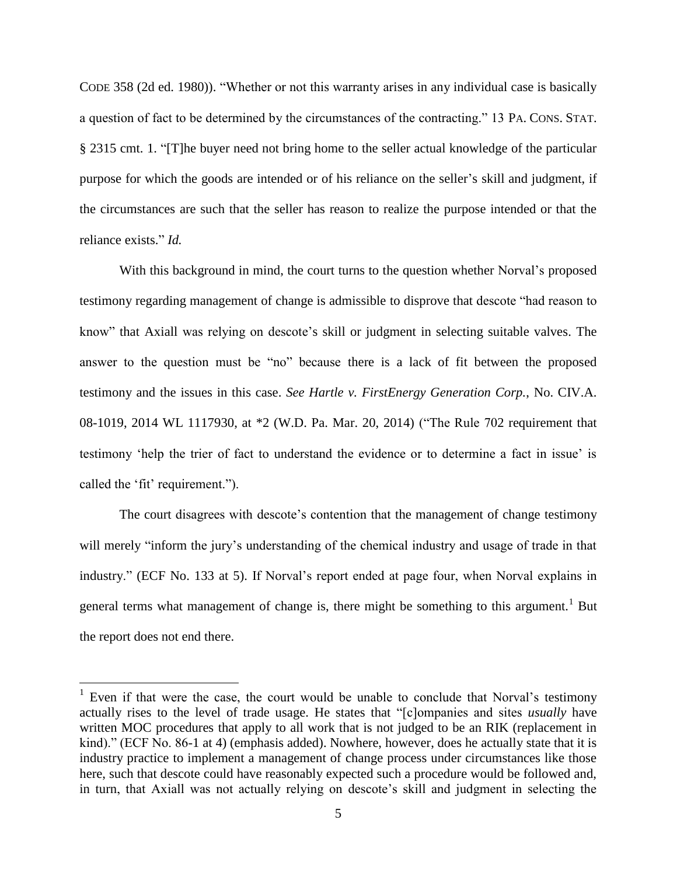CODE 358 (2d ed. 1980)). "Whether or not this warranty arises in any individual case is basically a question of fact to be determined by the circumstances of the contracting." 13 PA. CONS. STAT. § 2315 cmt. 1. "[T]he buyer need not bring home to the seller actual knowledge of the particular purpose for which the goods are intended or of his reliance on the seller's skill and judgment, if the circumstances are such that the seller has reason to realize the purpose intended or that the reliance exists." *Id.*

With this background in mind, the court turns to the question whether Norval's proposed testimony regarding management of change is admissible to disprove that descote "had reason to know" that Axiall was relying on descote's skill or judgment in selecting suitable valves. The answer to the question must be "no" because there is a lack of fit between the proposed testimony and the issues in this case. *See Hartle v. FirstEnergy Generation Corp.*, No. CIV.A. 08-1019, 2014 WL 1117930, at \*2 (W.D. Pa. Mar. 20, 2014) ("The Rule 702 requirement that testimony 'help the trier of fact to understand the evidence or to determine a fact in issue' is called the 'fit' requirement.").

The court disagrees with descote's contention that the management of change testimony will merely "inform the jury's understanding of the chemical industry and usage of trade in that industry." (ECF No. 133 at 5). If Norval's report ended at page four, when Norval explains in general terms what management of change is, there might be something to this argument.<sup>1</sup> But the report does not end there.

<sup>&</sup>lt;sup>1</sup> Even if that were the case, the court would be unable to conclude that Norval's testimony actually rises to the level of trade usage. He states that "[c]ompanies and sites *usually* have written MOC procedures that apply to all work that is not judged to be an RIK (replacement in kind)." (ECF No. 86-1 at 4) (emphasis added). Nowhere, however, does he actually state that it is industry practice to implement a management of change process under circumstances like those here, such that descote could have reasonably expected such a procedure would be followed and, in turn, that Axiall was not actually relying on descote's skill and judgment in selecting the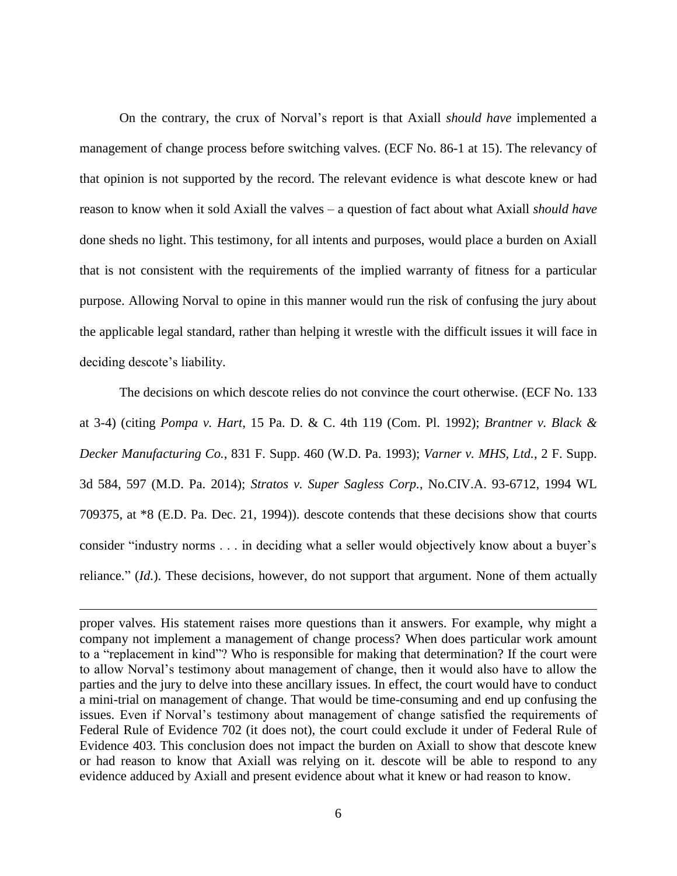On the contrary, the crux of Norval's report is that Axiall *should have* implemented a management of change process before switching valves. (ECF No. 86-1 at 15). The relevancy of that opinion is not supported by the record. The relevant evidence is what descote knew or had reason to know when it sold Axiall the valves – a question of fact about what Axiall *should have*  done sheds no light. This testimony, for all intents and purposes, would place a burden on Axiall that is not consistent with the requirements of the implied warranty of fitness for a particular purpose. Allowing Norval to opine in this manner would run the risk of confusing the jury about the applicable legal standard, rather than helping it wrestle with the difficult issues it will face in deciding descote's liability.

The decisions on which descote relies do not convince the court otherwise. (ECF No. 133 at 3-4) (citing *Pompa v. Hart*, 15 Pa. D. & C. 4th 119 (Com. Pl. 1992); *Brantner v. Black & Decker Manufacturing Co.*, 831 F. Supp. 460 (W.D. Pa. 1993); *Varner v. MHS, Ltd.*, 2 F. Supp. 3d 584, 597 (M.D. Pa. 2014); *Stratos v. Super Sagless Corp.*, No.CIV.A. 93-6712, 1994 WL 709375, at \*8 (E.D. Pa. Dec. 21, 1994)). descote contends that these decisions show that courts consider "industry norms . . . in deciding what a seller would objectively know about a buyer's reliance." (*Id.*). These decisions, however, do not support that argument. None of them actually

proper valves. His statement raises more questions than it answers. For example, why might a company not implement a management of change process? When does particular work amount to a "replacement in kind"? Who is responsible for making that determination? If the court were to allow Norval's testimony about management of change, then it would also have to allow the parties and the jury to delve into these ancillary issues. In effect, the court would have to conduct a mini-trial on management of change. That would be time-consuming and end up confusing the issues. Even if Norval's testimony about management of change satisfied the requirements of Federal Rule of Evidence 702 (it does not), the court could exclude it under of Federal Rule of Evidence 403. This conclusion does not impact the burden on Axiall to show that descote knew or had reason to know that Axiall was relying on it. descote will be able to respond to any evidence adduced by Axiall and present evidence about what it knew or had reason to know.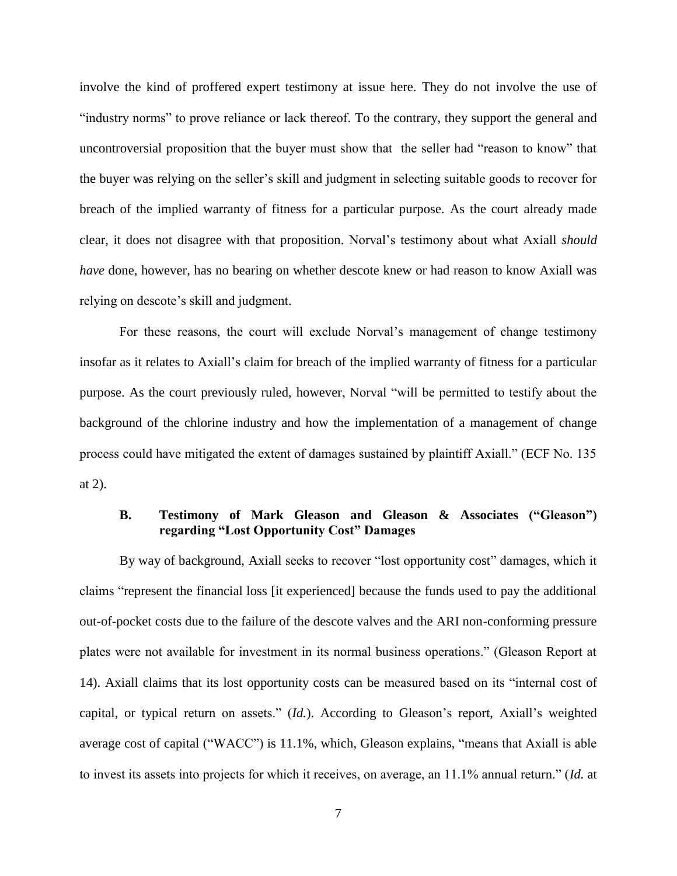involve the kind of proffered expert testimony at issue here. They do not involve the use of "industry norms" to prove reliance or lack thereof. To the contrary, they support the general and uncontroversial proposition that the buyer must show that the seller had "reason to know" that the buyer was relying on the seller's skill and judgment in selecting suitable goods to recover for breach of the implied warranty of fitness for a particular purpose. As the court already made clear, it does not disagree with that proposition. Norval's testimony about what Axiall *should have* done, however, has no bearing on whether descote knew or had reason to know Axiall was relying on descote's skill and judgment.

For these reasons, the court will exclude Norval's management of change testimony insofar as it relates to Axiall's claim for breach of the implied warranty of fitness for a particular purpose. As the court previously ruled, however, Norval "will be permitted to testify about the background of the chlorine industry and how the implementation of a management of change process could have mitigated the extent of damages sustained by plaintiff Axiall." (ECF No. 135 at 2).

# **B. Testimony of Mark Gleason and Gleason & Associates ("Gleason") regarding "Lost Opportunity Cost" Damages**

By way of background, Axiall seeks to recover "lost opportunity cost" damages, which it claims "represent the financial loss [it experienced] because the funds used to pay the additional out-of-pocket costs due to the failure of the descote valves and the ARI non-conforming pressure plates were not available for investment in its normal business operations." (Gleason Report at 14). Axiall claims that its lost opportunity costs can be measured based on its "internal cost of capital, or typical return on assets." (*Id.*). According to Gleason's report, Axiall's weighted average cost of capital ("WACC") is 11.1%, which, Gleason explains, "means that Axiall is able to invest its assets into projects for which it receives, on average, an 11.1% annual return." (*Id.* at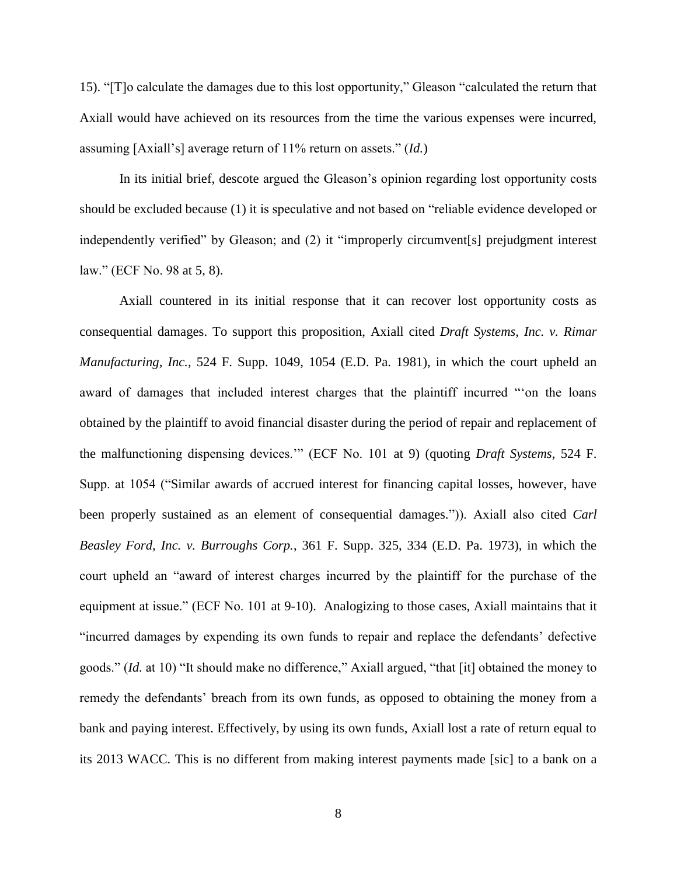15). "[T]o calculate the damages due to this lost opportunity," Gleason "calculated the return that Axiall would have achieved on its resources from the time the various expenses were incurred, assuming [Axiall's] average return of 11% return on assets." (*Id.*)

In its initial brief, descote argued the Gleason's opinion regarding lost opportunity costs should be excluded because (1) it is speculative and not based on "reliable evidence developed or independently verified" by Gleason; and (2) it "improperly circumvent[s] prejudgment interest law." (ECF No. 98 at 5, 8).

Axiall countered in its initial response that it can recover lost opportunity costs as consequential damages. To support this proposition, Axiall cited *Draft Systems, Inc. v. Rimar Manufacturing, Inc.*, 524 F. Supp. 1049, 1054 (E.D. Pa. 1981), in which the court upheld an award of damages that included interest charges that the plaintiff incurred "'on the loans obtained by the plaintiff to avoid financial disaster during the period of repair and replacement of the malfunctioning dispensing devices.'" (ECF No. 101 at 9) (quoting *Draft Systems*, 524 F. Supp. at 1054 ("Similar awards of accrued interest for financing capital losses, however, have been properly sustained as an element of consequential damages.")). Axiall also cited *Carl Beasley Ford, Inc. v. Burroughs Corp.*, 361 F. Supp. 325, 334 (E.D. Pa. 1973), in which the court upheld an "award of interest charges incurred by the plaintiff for the purchase of the equipment at issue." (ECF No. 101 at 9-10). Analogizing to those cases, Axiall maintains that it "incurred damages by expending its own funds to repair and replace the defendants' defective goods." (*Id.* at 10) "It should make no difference," Axiall argued, "that [it] obtained the money to remedy the defendants' breach from its own funds, as opposed to obtaining the money from a bank and paying interest. Effectively, by using its own funds, Axiall lost a rate of return equal to its 2013 WACC. This is no different from making interest payments made [sic] to a bank on a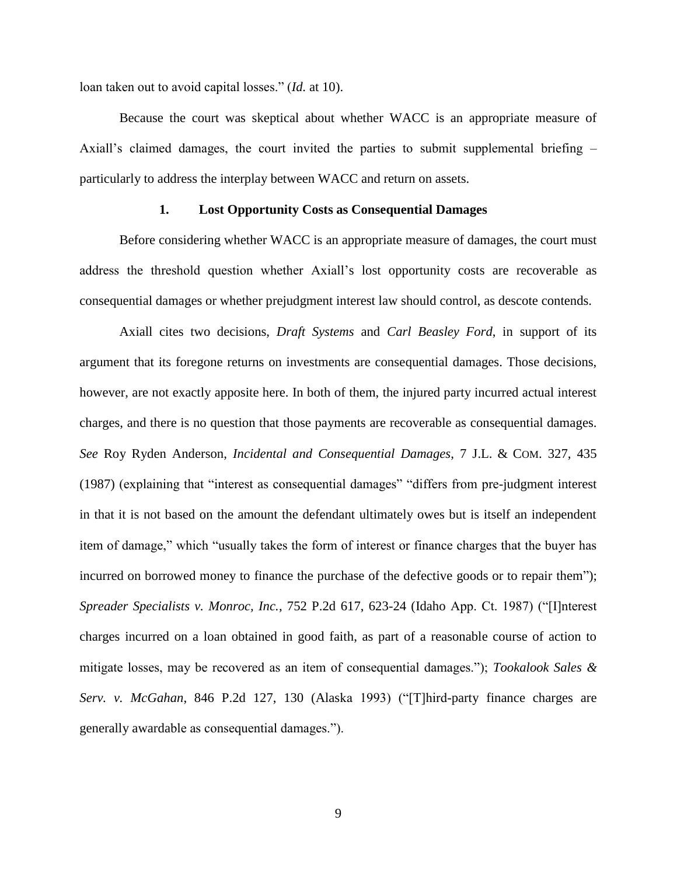loan taken out to avoid capital losses." (*Id.* at 10).

Because the court was skeptical about whether WACC is an appropriate measure of Axiall's claimed damages, the court invited the parties to submit supplemental briefing – particularly to address the interplay between WACC and return on assets.

#### **1. Lost Opportunity Costs as Consequential Damages**

Before considering whether WACC is an appropriate measure of damages, the court must address the threshold question whether Axiall's lost opportunity costs are recoverable as consequential damages or whether prejudgment interest law should control, as descote contends.

Axiall cites two decisions, *Draft Systems* and *Carl Beasley Ford*, in support of its argument that its foregone returns on investments are consequential damages. Those decisions, however, are not exactly apposite here. In both of them, the injured party incurred actual interest charges, and there is no question that those payments are recoverable as consequential damages. *See* Roy Ryden Anderson, *Incidental and Consequential Damages*, 7 J.L. & COM. 327, 435 (1987) (explaining that "interest as consequential damages" "differs from pre-judgment interest in that it is not based on the amount the defendant ultimately owes but is itself an independent item of damage," which "usually takes the form of interest or finance charges that the buyer has incurred on borrowed money to finance the purchase of the defective goods or to repair them"); *Spreader Specialists v. Monroc, Inc.*, 752 P.2d 617, 623-24 (Idaho App. Ct. 1987) ("[I]nterest charges incurred on a loan obtained in good faith, as part of a reasonable course of action to mitigate losses, may be recovered as an item of consequential damages."); *Tookalook Sales & Serv. v. McGahan*, 846 P.2d 127, 130 (Alaska 1993) ("[T]hird-party finance charges are generally awardable as consequential damages.").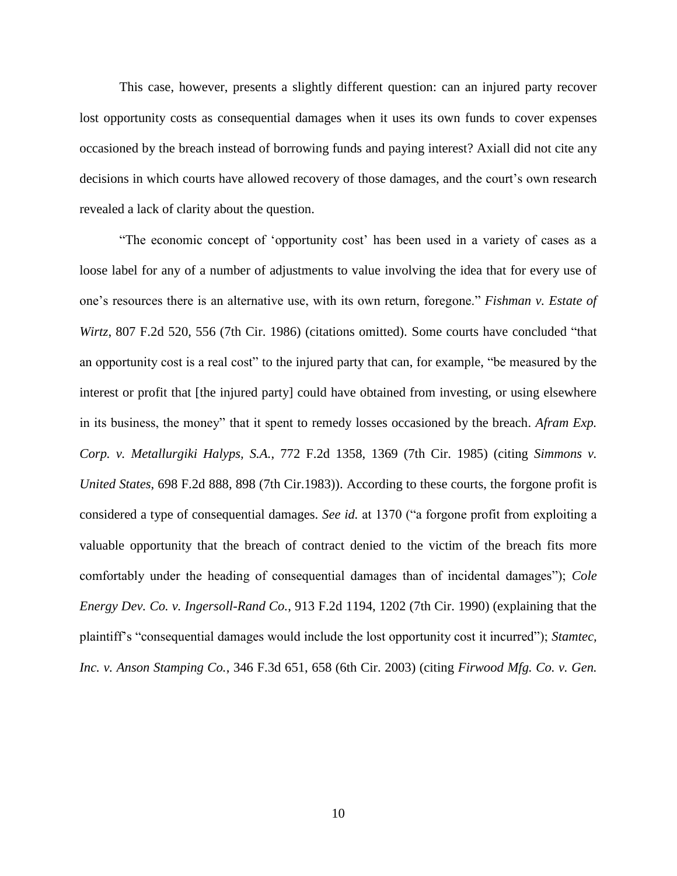This case, however, presents a slightly different question: can an injured party recover lost opportunity costs as consequential damages when it uses its own funds to cover expenses occasioned by the breach instead of borrowing funds and paying interest? Axiall did not cite any decisions in which courts have allowed recovery of those damages, and the court's own research revealed a lack of clarity about the question.

"The economic concept of 'opportunity cost' has been used in a variety of cases as a loose label for any of a number of adjustments to value involving the idea that for every use of one's resources there is an alternative use, with its own return, foregone." *Fishman v. Estate of Wirtz*, 807 F.2d 520, 556 (7th Cir. 1986) (citations omitted). Some courts have concluded "that an opportunity cost is a real cost" to the injured party that can, for example, "be measured by the interest or profit that [the injured party] could have obtained from investing, or using elsewhere in its business, the money" that it spent to remedy losses occasioned by the breach. *Afram Exp. Corp. v. Metallurgiki Halyps, S.A.*, 772 F.2d 1358, 1369 (7th Cir. 1985) (citing *Simmons v. United States*, 698 F.2d 888, 898 (7th Cir.1983)). According to these courts, the forgone profit is considered a type of consequential damages. *See id.* at 1370 ("a forgone profit from exploiting a valuable opportunity that the breach of contract denied to the victim of the breach fits more comfortably under the heading of consequential damages than of incidental damages"); *Cole Energy Dev. Co. v. Ingersoll-Rand Co.*, 913 F.2d 1194, 1202 (7th Cir. 1990) (explaining that the plaintiff's "consequential damages would include the lost opportunity cost it incurred"); *Stamtec, Inc. v. Anson Stamping Co.*, 346 F.3d 651, 658 (6th Cir. 2003) (citing *Firwood Mfg. Co. v. Gen.*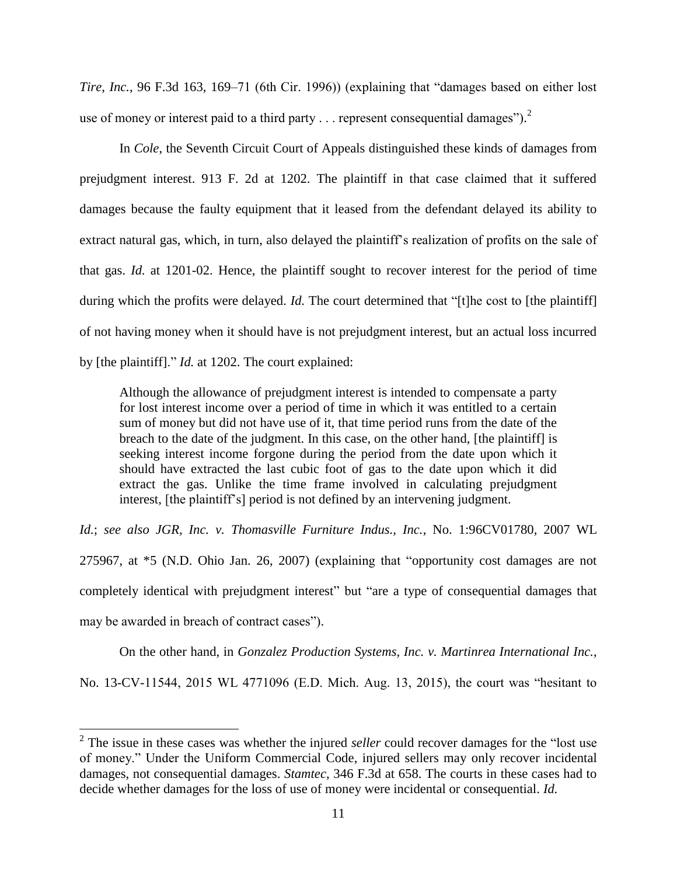*Tire, Inc.*, 96 F.3d 163, 169–71 (6th Cir. 1996)) (explaining that "damages based on either lost use of money or interest paid to a third party  $\dots$  represent consequential damages").<sup>2</sup>

In *Cole*, the Seventh Circuit Court of Appeals distinguished these kinds of damages from prejudgment interest. 913 F. 2d at 1202. The plaintiff in that case claimed that it suffered damages because the faulty equipment that it leased from the defendant delayed its ability to extract natural gas, which, in turn, also delayed the plaintiff's realization of profits on the sale of that gas. *Id.* at 1201-02. Hence, the plaintiff sought to recover interest for the period of time during which the profits were delayed. *Id*. The court determined that "[t]he cost to [the plaintiff] of not having money when it should have is not prejudgment interest, but an actual loss incurred by [the plaintiff]." *Id.* at 1202. The court explained:

Although the allowance of prejudgment interest is intended to compensate a party for lost interest income over a period of time in which it was entitled to a certain sum of money but did not have use of it, that time period runs from the date of the breach to the date of the judgment. In this case, on the other hand, [the plaintiff] is seeking interest income forgone during the period from the date upon which it should have extracted the last cubic foot of gas to the date upon which it did extract the gas. Unlike the time frame involved in calculating prejudgment interest, [the plaintiff's] period is not defined by an intervening judgment.

*Id.*; *see also JGR, Inc. v. Thomasville Furniture Indus., Inc.*, No. 1:96CV01780, 2007 WL 275967, at \*5 (N.D. Ohio Jan. 26, 2007) (explaining that "opportunity cost damages are not completely identical with prejudgment interest" but "are a type of consequential damages that may be awarded in breach of contract cases").

On the other hand, in *Gonzalez Production Systems, Inc. v. Martinrea International Inc.*, No. 13-CV-11544, 2015 WL 4771096 (E.D. Mich. Aug. 13, 2015), the court was "hesitant to

<sup>&</sup>lt;sup>2</sup> The issue in these cases was whether the injured *seller* could recover damages for the "lost use of money." Under the Uniform Commercial Code, injured sellers may only recover incidental damages, not consequential damages. *Stamtec*, 346 F.3d at 658. The courts in these cases had to decide whether damages for the loss of use of money were incidental or consequential. *Id.*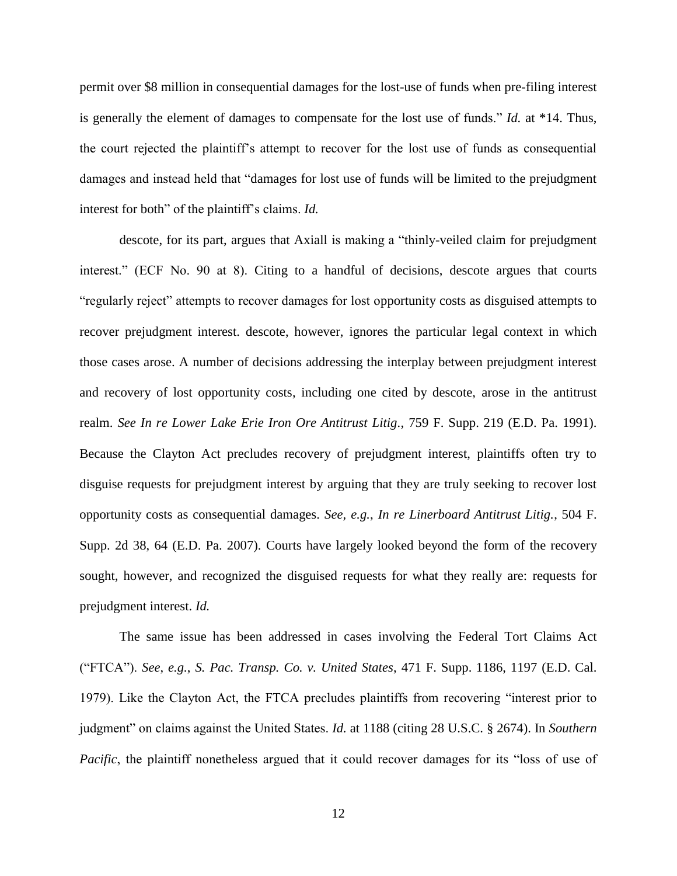permit over \$8 million in consequential damages for the lost-use of funds when pre-filing interest is generally the element of damages to compensate for the lost use of funds." *Id.* at \*14. Thus, the court rejected the plaintiff's attempt to recover for the lost use of funds as consequential damages and instead held that "damages for lost use of funds will be limited to the prejudgment interest for both" of the plaintiff's claims. *Id.*

descote, for its part, argues that Axiall is making a "thinly-veiled claim for prejudgment interest." (ECF No. 90 at 8). Citing to a handful of decisions, descote argues that courts "regularly reject" attempts to recover damages for lost opportunity costs as disguised attempts to recover prejudgment interest. descote, however, ignores the particular legal context in which those cases arose. A number of decisions addressing the interplay between prejudgment interest and recovery of lost opportunity costs, including one cited by descote, arose in the antitrust realm. *See In re Lower Lake Erie Iron Ore Antitrust Litig.*, 759 F. Supp. 219 (E.D. Pa. 1991). Because the Clayton Act precludes recovery of prejudgment interest, plaintiffs often try to disguise requests for prejudgment interest by arguing that they are truly seeking to recover lost opportunity costs as consequential damages. *See, e.g.*, *In re Linerboard Antitrust Litig.*, 504 F. Supp. 2d 38, 64 (E.D. Pa. 2007). Courts have largely looked beyond the form of the recovery sought, however, and recognized the disguised requests for what they really are: requests for prejudgment interest. *Id.*

The same issue has been addressed in cases involving the Federal Tort Claims Act ("FTCA"). *See*, *e.g.*, *S. Pac. Transp. Co. v. United States*, 471 F. Supp. 1186, 1197 (E.D. Cal. 1979). Like the Clayton Act, the FTCA precludes plaintiffs from recovering "interest prior to judgment" on claims against the United States. *Id.* at 1188 (citing 28 U.S.C. § 2674). In *Southern Pacific*, the plaintiff nonetheless argued that it could recover damages for its "loss of use of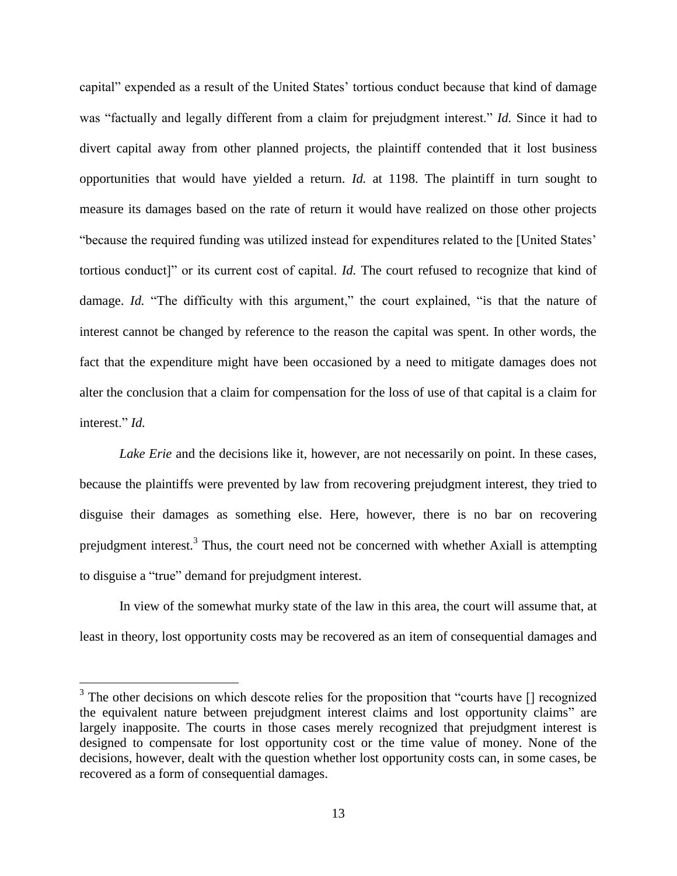capital" expended as a result of the United States' tortious conduct because that kind of damage was "factually and legally different from a claim for prejudgment interest." *Id.* Since it had to divert capital away from other planned projects, the plaintiff contended that it lost business opportunities that would have yielded a return. *Id.* at 1198. The plaintiff in turn sought to measure its damages based on the rate of return it would have realized on those other projects "because the required funding was utilized instead for expenditures related to the [United States' tortious conduct]" or its current cost of capital. *Id.* The court refused to recognize that kind of damage. *Id.* "The difficulty with this argument," the court explained, "is that the nature of interest cannot be changed by reference to the reason the capital was spent. In other words, the fact that the expenditure might have been occasioned by a need to mitigate damages does not alter the conclusion that a claim for compensation for the loss of use of that capital is a claim for interest." *Id.*

*Lake Erie* and the decisions like it, however, are not necessarily on point. In these cases, because the plaintiffs were prevented by law from recovering prejudgment interest, they tried to disguise their damages as something else. Here, however, there is no bar on recovering prejudgment interest.<sup>3</sup> Thus, the court need not be concerned with whether Axiall is attempting to disguise a "true" demand for prejudgment interest.

In view of the somewhat murky state of the law in this area, the court will assume that, at least in theory, lost opportunity costs may be recovered as an item of consequential damages and

 $3$  The other decisions on which descote relies for the proposition that "courts have  $[]$  recognized the equivalent nature between prejudgment interest claims and lost opportunity claims" are largely inapposite. The courts in those cases merely recognized that prejudgment interest is designed to compensate for lost opportunity cost or the time value of money. None of the decisions, however, dealt with the question whether lost opportunity costs can, in some cases, be recovered as a form of consequential damages.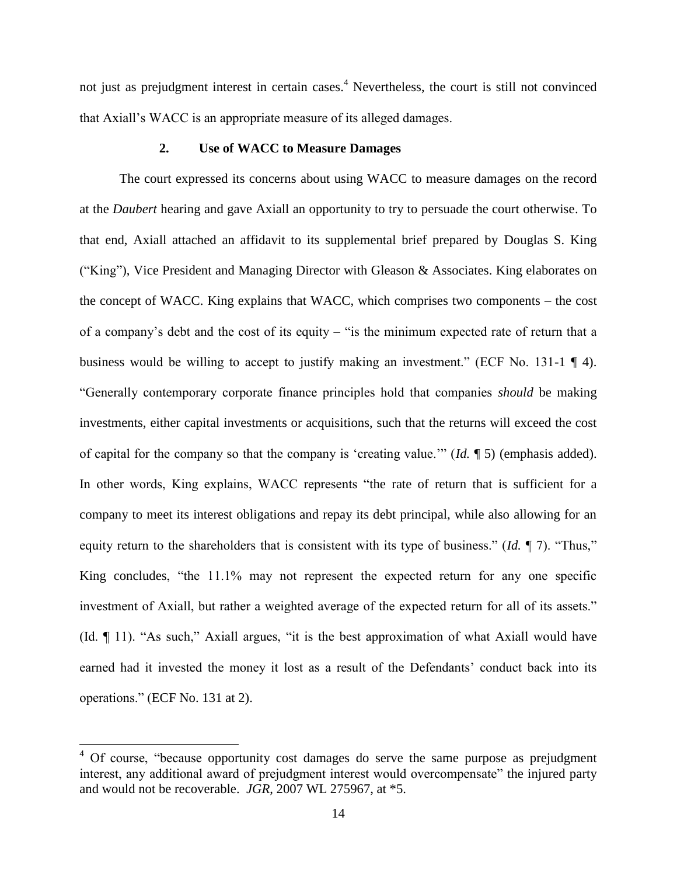not just as prejudgment interest in certain cases. <sup>4</sup> Nevertheless, the court is still not convinced that Axiall's WACC is an appropriate measure of its alleged damages.

## **2. Use of WACC to Measure Damages**

The court expressed its concerns about using WACC to measure damages on the record at the *Daubert* hearing and gave Axiall an opportunity to try to persuade the court otherwise. To that end, Axiall attached an affidavit to its supplemental brief prepared by Douglas S. King ("King"), Vice President and Managing Director with Gleason & Associates. King elaborates on the concept of WACC. King explains that WACC, which comprises two components – the cost of a company's debt and the cost of its equity – "is the minimum expected rate of return that a business would be willing to accept to justify making an investment." (ECF No. 131-1 ¶ 4). "Generally contemporary corporate finance principles hold that companies *should* be making investments, either capital investments or acquisitions, such that the returns will exceed the cost of capital for the company so that the company is 'creating value.'" (*Id.* ¶ 5) (emphasis added). In other words, King explains, WACC represents "the rate of return that is sufficient for a company to meet its interest obligations and repay its debt principal, while also allowing for an equity return to the shareholders that is consistent with its type of business." (*Id.* ¶ 7). "Thus," King concludes, "the 11.1% may not represent the expected return for any one specific investment of Axiall, but rather a weighted average of the expected return for all of its assets." (Id. ¶ 11). "As such," Axiall argues, "it is the best approximation of what Axiall would have earned had it invested the money it lost as a result of the Defendants' conduct back into its operations." (ECF No. 131 at 2).

 $4$  Of course, "because opportunity cost damages do serve the same purpose as prejudgment interest, any additional award of prejudgment interest would overcompensate" the injured party and would not be recoverable. *JGR*, 2007 WL 275967, at \*5.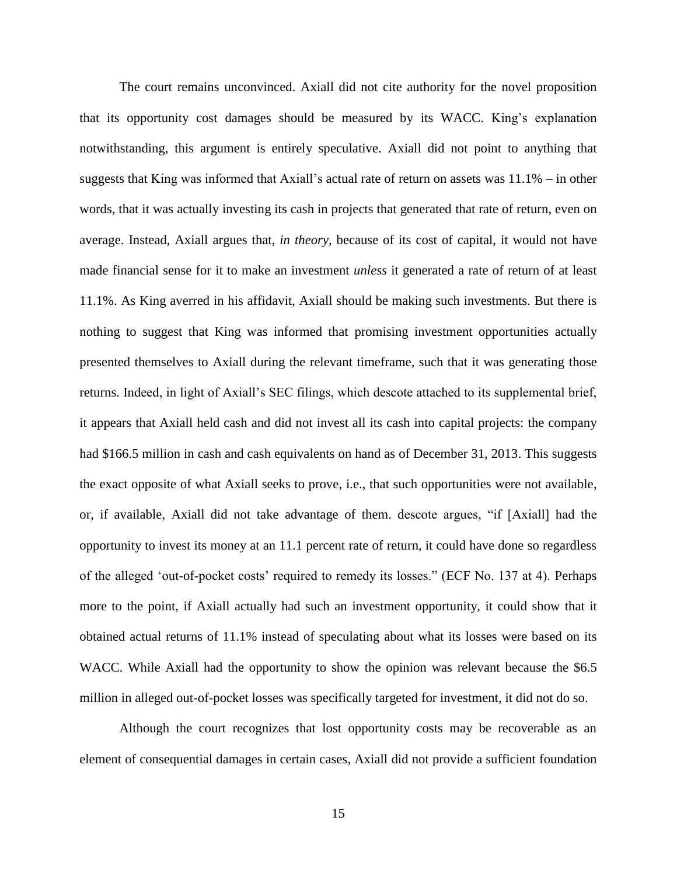The court remains unconvinced. Axiall did not cite authority for the novel proposition that its opportunity cost damages should be measured by its WACC. King's explanation notwithstanding, this argument is entirely speculative. Axiall did not point to anything that suggests that King was informed that Axiall's actual rate of return on assets was 11.1% – in other words, that it was actually investing its cash in projects that generated that rate of return, even on average. Instead, Axiall argues that, *in theory*, because of its cost of capital, it would not have made financial sense for it to make an investment *unless* it generated a rate of return of at least 11.1%. As King averred in his affidavit, Axiall should be making such investments. But there is nothing to suggest that King was informed that promising investment opportunities actually presented themselves to Axiall during the relevant timeframe, such that it was generating those returns. Indeed, in light of Axiall's SEC filings, which descote attached to its supplemental brief, it appears that Axiall held cash and did not invest all its cash into capital projects: the company had \$166.5 million in cash and cash equivalents on hand as of December 31, 2013. This suggests the exact opposite of what Axiall seeks to prove, i.e., that such opportunities were not available, or, if available, Axiall did not take advantage of them. descote argues, "if [Axiall] had the opportunity to invest its money at an 11.1 percent rate of return, it could have done so regardless of the alleged 'out-of-pocket costs' required to remedy its losses." (ECF No. 137 at 4). Perhaps more to the point, if Axiall actually had such an investment opportunity, it could show that it obtained actual returns of 11.1% instead of speculating about what its losses were based on its WACC. While Axiall had the opportunity to show the opinion was relevant because the \$6.5 million in alleged out-of-pocket losses was specifically targeted for investment, it did not do so.

Although the court recognizes that lost opportunity costs may be recoverable as an element of consequential damages in certain cases, Axiall did not provide a sufficient foundation